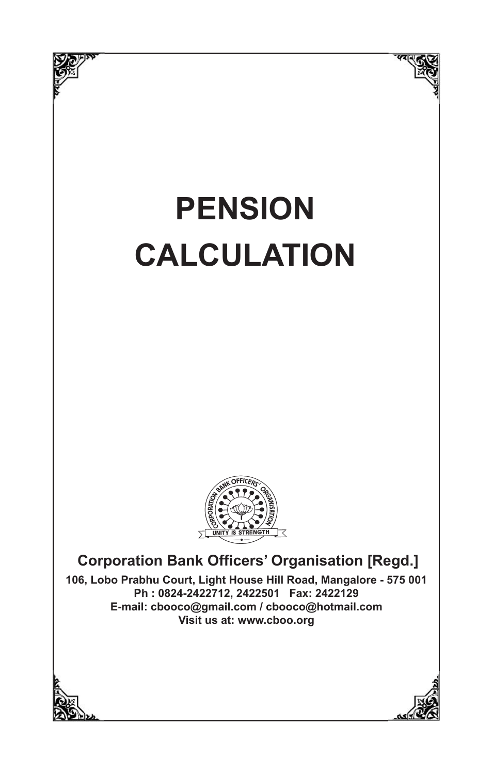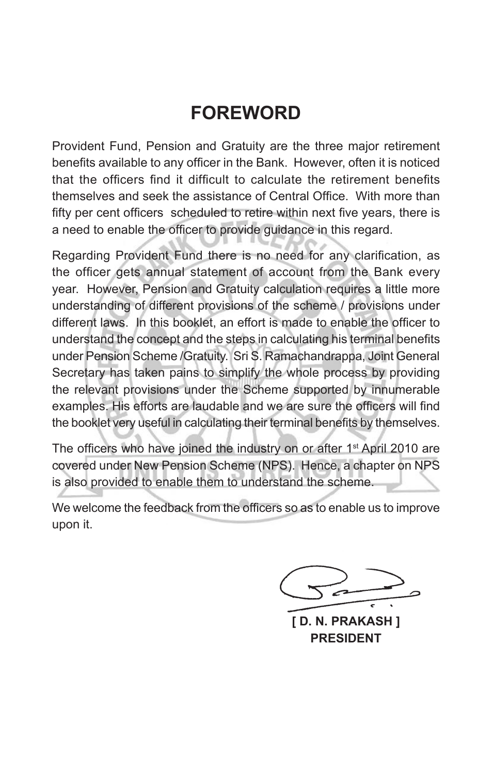# **FOREWORD**

Provident Fund, Pension and Gratuity are the three major retirement benefits available to any officer in the Bank. However, often it is noticed that the officers find it difficult to calculate the retirement benefits themselves and seek the assistance of Central Office. With more than fifty per cent officers scheduled to retire within next five years, there is a need to enable the officer to provide guidance in this regard.

Regarding Provident Fund there is no need for any clarification, as the officer gets annual statement of account from the Bank every year. However, Pension and Gratuity calculation requires a little more understanding of different provisions of the scheme / provisions under different laws. In this booklet, an effort is made to enable the officer to understand the concept and the steps in calculating his terminal benefits under Pension Scheme /Gratuity. Sri S. Ramachandrappa, Joint General Secretary has taken pains to simplify the whole process by providing the relevant provisions under the Scheme supported by innumerable examples. His efforts are laudable and we are sure the officers will find the booklet very useful in calculating their terminal benefits by themselves.

The officers who have joined the industry on or after 1<sup>st</sup> April 2010 are covered under New Pension Scheme (NPS). Hence, a chapter on NPS is also provided to enable them to understand the scheme.

We welcome the feedback from the officers so as to enable us to improve upon it.

**[ D. N. PRAKASH ] PRESIDENT**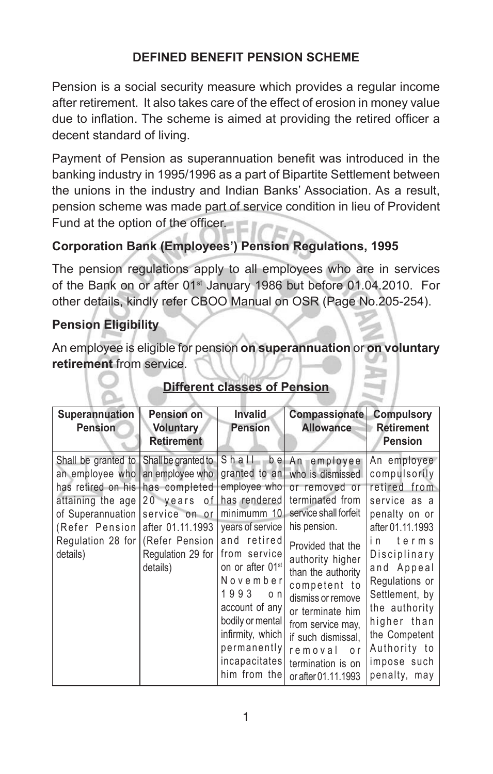### **DEFINED BENEFIT PENSION SCHEME**

Pension is a social security measure which provides a regular income after retirement. It also takes care of the effect of erosion in money value due to inflation. The scheme is aimed at providing the retired officer a decent standard of living.

Payment of Pension as superannuation benefit was introduced in the banking industry in 1995/1996 as a part of Bipartite Settlement between the unions in the industry and Indian Banks' Association. As a result, pension scheme was made part of service condition in lieu of Provident Fund at the option of the officer.

## **Corporation Bank (Employees') Pension Regulations, 1995**

The pension regulations apply to all employees who are in services of the Bank on or after 01<sup>st</sup> January 1986 but before 01.04.2010. For other details, kindly refer CBOO Manual on OSR (Page No.205-254).

#### **Pension Eligibility**

An employee is eligible for pension **on superannuation** or **on voluntary retirement** from service.

| Superannuation<br><b>Pension</b>                                                                                                                                                                                                                              | <b>Pension on</b><br><b>Voluntary</b><br><b>Retirement</b> | <b>Invalid</b><br><b>Pension</b>                                                                                                                                                                                                                                          | Compassionate<br><b>Allowance</b>                                                                                                                                                                                                                                                                                                                                    | <b>Compulsory</b><br><b>Retirement</b><br><b>Pension</b>                                                                                                                                                                                                                           |
|---------------------------------------------------------------------------------------------------------------------------------------------------------------------------------------------------------------------------------------------------------------|------------------------------------------------------------|---------------------------------------------------------------------------------------------------------------------------------------------------------------------------------------------------------------------------------------------------------------------------|----------------------------------------------------------------------------------------------------------------------------------------------------------------------------------------------------------------------------------------------------------------------------------------------------------------------------------------------------------------------|------------------------------------------------------------------------------------------------------------------------------------------------------------------------------------------------------------------------------------------------------------------------------------|
| Shall be granted to Shall be granted to<br>an employee who an employee who<br>has retired on his has completed<br>attaining the age $ 20$ years of<br>of Superannuation  <br>(Refer Pension after 01.11.1993)<br>Regulation 28 for (Refer Pension<br>details) | service on or<br>Regulation 29 for<br>details)             | employee who<br>has rendered<br>minimumm 10<br>years of service<br>and retired<br>from service<br>on or after 01 <sup>st</sup><br>November<br>1993<br>$\circ$ n<br>account of any<br>bodily or mental<br>infirmity, which<br>permanently<br>incapacitates<br>him from the | Shall be An employee<br>granted to an who is dismissed<br>or removed or<br>terminated from<br>service shall forfeit<br>his pension.<br>Provided that the<br>authority higher<br>than the authority<br>competent to<br>dismiss or remove<br>or terminate him<br>from service may.<br>if such dismissal,<br>removal<br>0 r<br>termination is on<br>or after 01.11.1993 | An employee<br>compulsorily<br>retired from<br>service as a<br>penalty on or<br>after 01.11.1993<br>terms<br>i n<br>Disciplinary<br>and Appeal<br>Regulations or<br>Settlement, by<br>the authority<br>higher than<br>the Competent<br>Authority to<br>impose such<br>penalty, may |

## **Different classes of Pension**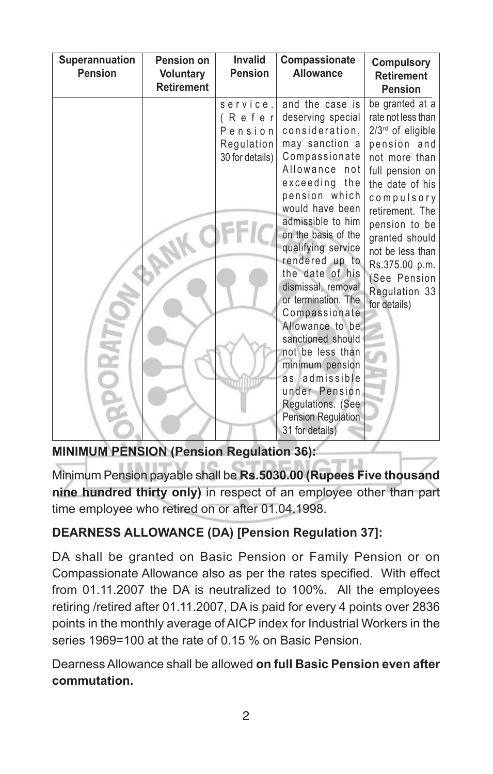| Superannuation<br><b>Pension</b> | Pension on<br><b>Voluntary</b><br><b>Retirement</b> | <b>Invalid</b><br><b>Pension</b>                               | Compassionate<br><b>Allowance</b>                                                                                                                                                                                                                                                                                                                                                                                                                                                                                    | <b>Compulsory</b><br><b>Retirement</b><br><b>Pension</b>                                                                                                                                                                                                                                    |
|----------------------------------|-----------------------------------------------------|----------------------------------------------------------------|----------------------------------------------------------------------------------------------------------------------------------------------------------------------------------------------------------------------------------------------------------------------------------------------------------------------------------------------------------------------------------------------------------------------------------------------------------------------------------------------------------------------|---------------------------------------------------------------------------------------------------------------------------------------------------------------------------------------------------------------------------------------------------------------------------------------------|
|                                  |                                                     | service.<br>(Refer<br>Pension<br>Regulation<br>30 for details) | and the case is<br>deserving special<br>consideration,<br>may sanction a<br>Compassionate<br>Allowance not<br>exceeding the<br>pension which<br>would have been<br>admissible to him<br>on the basis of the<br>qualifying service<br>rendered up to<br>the date of his<br>dismissal, removal<br>or termination. The<br>Compassionate<br>Allowance to be<br>sanctioned should<br>not be less than<br>minimum pension<br>as admissible<br>under Pension.<br>Regulations. (See<br>Pension Regulation<br>31 for details) | be granted at a<br>rate not less than<br>2/3rd of eligible<br>pension and<br>not more than<br>full pension on<br>the date of his<br>compulsory<br>retirement. The<br>pension to be<br>granted should<br>not be less than<br>Rs.375.00 p.m.<br>(See Pension<br>Regulation 33<br>for details) |

**MINIMUM PENSION (Pension Regulation 36):**

Minimum Pension payable shall be **Rs.5030.00 (Rupees Five thousand nine hundred thirty only)** in respect of an employee other than part time employee who retired on or after 01.04.1998.

# **DEARNESS ALLOWANCE (DA) [Pension Regulation 37]:**

DA shall be granted on Basic Pension or Family Pension or on Compassionate Allowance also as per the rates specified. With effect from 01.11.2007 the DA is neutralized to 100%. All the employees retiring /retired after 01.11.2007, DA is paid for every 4 points over 2836 points in the monthly average of AICP index for Industrial Workers in the series 1969=100 at the rate of 0.15 % on Basic Pension.

Dearness Allowance shall be allowed **on full Basic Pension even after commutation.**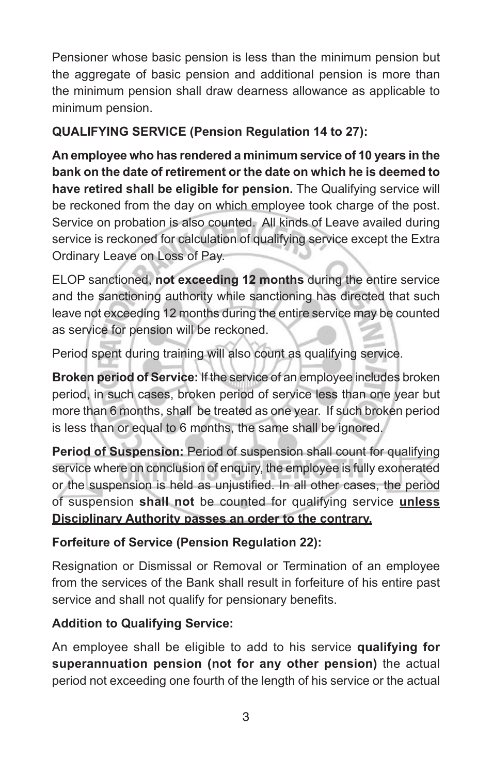Pensioner whose basic pension is less than the minimum pension but the aggregate of basic pension and additional pension is more than the minimum pension shall draw dearness allowance as applicable to minimum pension.

## **QUALIFYING SERVICE (Pension Regulation 14 to 27):**

**An employee who has rendered a minimum service of 10 years in the bank on the date of retirement or the date on which he is deemed to have retired shall be eligible for pension.** The Qualifying service will be reckoned from the day on which employee took charge of the post. Service on probation is also counted. All kinds of Leave availed during service is reckoned for calculation of qualifying service except the Extra Ordinary Leave on Loss of Pay.

ELOP sanctioned, **not exceeding 12 months** during the entire service and the sanctioning authority while sanctioning has directed that such leave not exceeding 12 months during the entire service may be counted as service for pension will be reckoned.

Period spent during training will also count as qualifying service.

**Broken period of Service:** If the service of an employee includes broken period, in such cases, broken period of service less than one year but more than 6 months, shall be treated as one year. If such broken period is less than or equal to 6 months, the same shall be ignored.

**Period of Suspension:** Period of suspension shall count for qualifying service where on conclusion of enquiry, the employee is fully exonerated or the suspension is held as unjustified. In all other cases, the period of suspension **shall not** be counted for qualifying service **unless Disciplinary Authority passes an order to the contrary.**

#### **Forfeiture of Service (Pension Regulation 22):**

Resignation or Dismissal or Removal or Termination of an employee from the services of the Bank shall result in forfeiture of his entire past service and shall not qualify for pensionary benefits.

#### **Addition to Qualifying Service:**

An employee shall be eligible to add to his service **qualifying for superannuation pension (not for any other pension)** the actual period not exceeding one fourth of the length of his service or the actual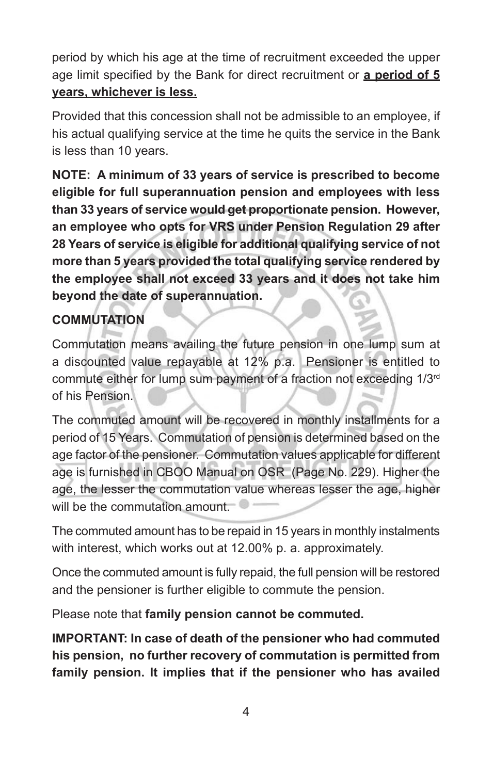period by which his age at the time of recruitment exceeded the upper age limit specified by the Bank for direct recruitment or **a period of 5 years, whichever is less.**

Provided that this concession shall not be admissible to an employee, if his actual qualifying service at the time he quits the service in the Bank is less than 10 years.

**NOTE: A minimum of 33 years of service is prescribed to become eligible for full superannuation pension and employees with less than 33 years of service would get proportionate pension. However, an employee who opts for VRS under Pension Regulation 29 after 28 Years of service is eligible for additional qualifying service of not more than 5 years provided the total qualifying service rendered by the employee shall not exceed 33 years and it does not take him beyond the date of superannuation.**

## **COMMUTATION**

Commutation means availing the future pension in one lump sum at a discounted value repayable at 12% p.a. Pensioner is entitled to commute either for lump sum payment of a fraction not exceeding 1/3<sup>rd</sup> of his Pension.

The commuted amount will be recovered in monthly installments for a period of 15 Years. Commutation of pension is determined based on the age factor of the pensioner. Commutation values applicable for different age is furnished in CBOO Manual on OSR (Page No. 229). Higher the age, the lesser the commutation value whereas lesser the age, higher will be the commutation amount.

The commuted amount has to be repaid in 15 years in monthly instalments with interest, which works out at 12.00% p. a. approximately.

Once the commuted amount is fully repaid, the full pension will be restored and the pensioner is further eligible to commute the pension.

Please note that **family pension cannot be commuted.**

**IMPORTANT: In case of death of the pensioner who had commuted his pension, no further recovery of commutation is permitted from family pension. It implies that if the pensioner who has availed**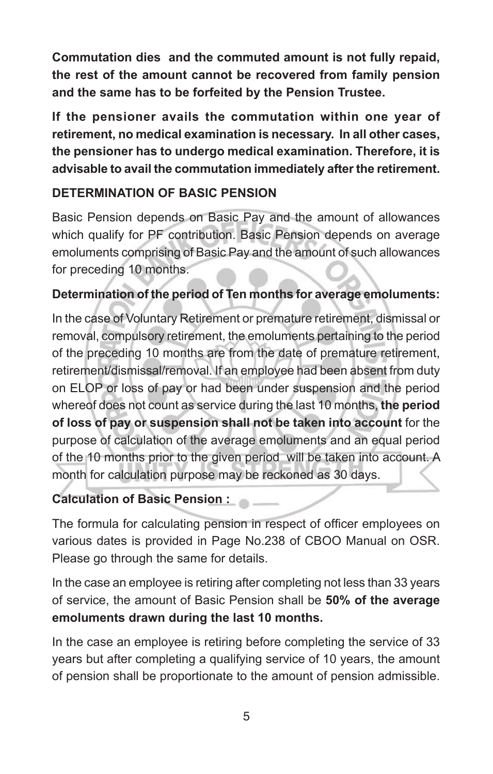**Commutation dies and the commuted amount is not fully repaid, the rest of the amount cannot be recovered from family pension and the same has to be forfeited by the Pension Trustee.**

**If the pensioner avails the commutation within one year of retirement, no medical examination is necessary. In all other cases, the pensioner has to undergo medical examination. Therefore, it is advisable to avail the commutation immediately after the retirement.**

## **DETERMINATION OF BASIC PENSION**

Basic Pension depends on Basic Pay and the amount of allowances which qualify for PF contribution. Basic Pension depends on average emoluments comprising of Basic Pay and the amount of such allowances for preceding 10 months.

## **Determination of the period of Ten months for average emoluments:**

In the case of Voluntary Retirement or premature retirement, dismissal or removal, compulsory retirement, the emoluments pertaining to the period of the preceding 10 months are from the date of premature retirement, retirement/dismissal/removal. If an employee had been absent from duty on ELOP or loss of pay or had been under suspension and the period whereof does not count as service during the last 10 months, **the period of loss of pay or suspension shall not be taken into account** for the purpose of calculation of the average emoluments and an equal period of the 10 months prior to the given period will be taken into account. A month for calculation purpose may be reckoned as 30 days.

## **Calculation of Basic Pension :**

The formula for calculating pension in respect of officer employees on various dates is provided in Page No.238 of CBOO Manual on OSR. Please go through the same for details.

In the case an employee is retiring after completing not less than 33 years of service, the amount of Basic Pension shall be **50% of the average emoluments drawn during the last 10 months.**

In the case an employee is retiring before completing the service of 33 years but after completing a qualifying service of 10 years, the amount of pension shall be proportionate to the amount of pension admissible.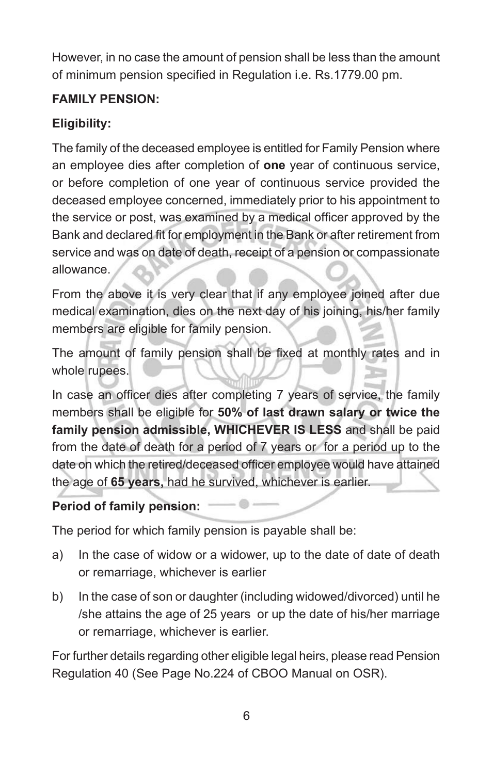However, in no case the amount of pension shall be less than the amount of minimum pension specified in Regulation i.e. Rs.1779.00 pm.

## **FAMILY PENSION:**

## **Eligibility:**

The family of the deceased employee is entitled for Family Pension where an employee dies after completion of **one** year of continuous service, or before completion of one year of continuous service provided the deceased employee concerned, immediately prior to his appointment to the service or post, was examined by a medical officer approved by the Bank and declared fit for employment in the Bank or after retirement from service and was on date of death, receipt of a pension or compassionate allowance.

From the above it is very clear that if any employee joined after due medical examination, dies on the next day of his joining, his/her family members are eligible for family pension.

The amount of family pension shall be fixed at monthly rates and in whole rupees.

In case an officer dies after completing 7 years of service, the family members shall be eligible for **50% of last drawn salary or twice the family pension admissible, WHICHEVER IS LESS** and shall be paid from the date of death for a period of 7 years or for a period up to the date on which the retired/deceased officer employee would have attained the age of **65 years,** had he survived, whichever is earlier.

## **Period of family pension:**

The period for which family pension is payable shall be:

- a) In the case of widow or a widower, up to the date of date of death or remarriage, whichever is earlier
- b) In the case of son or daughter (including widowed/divorced) until he /she attains the age of 25 years or up the date of his/her marriage or remarriage, whichever is earlier.

For further details regarding other eligible legal heirs, please read Pension Regulation 40 (See Page No.224 of CBOO Manual on OSR).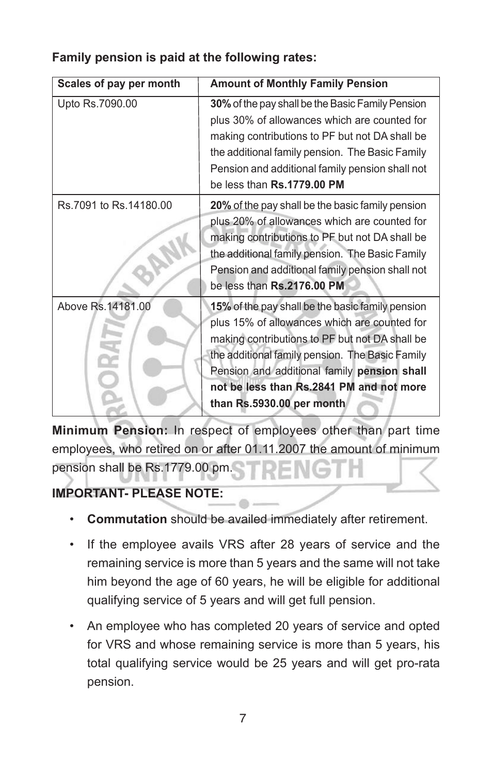| Scales of pay per month | <b>Amount of Monthly Family Pension</b>                                                                                                                                                                                                                                                                                       |
|-------------------------|-------------------------------------------------------------------------------------------------------------------------------------------------------------------------------------------------------------------------------------------------------------------------------------------------------------------------------|
| Upto Rs.7090.00         | 30% of the pay shall be the Basic Family Pension<br>plus 30% of allowances which are counted for<br>making contributions to PF but not DA shall be<br>the additional family pension. The Basic Family<br>Pension and additional family pension shall not<br>be less than Rs.1779.00 PM                                        |
| Rs.7091 to Rs.14180.00  | 20% of the pay shall be the basic family pension<br>plus 20% of allowances which are counted for<br>making contributions to PF but not DA shall be<br>the additional family pension. The Basic Family<br>Pension and additional family pension shall not<br>be less than Rs.2176.00 PM                                        |
| Above Rs. 14181.00      | 15% of the pay shall be the basic family pension<br>plus 15% of allowances which are counted for<br>making contributions to PF but not DA shall be<br>the additional family pension. The Basic Family<br>Pension and additional family pension shall<br>not be less than Rs.2841 PM and not more<br>than Rs.5930.00 per month |

# **Family pension is paid at the following rates:**

**Minimum Pension:** In respect of employees other than part time employees, who retired on or after 01.11.2007 the amount of minimum pension shall be Rs.1779.00 pm.

# **IMPORTANT- PLEASE NOTE:**

- **Commutation** should be availed immediately after retirement.
- If the employee avails VRS after 28 years of service and the remaining service is more than 5 years and the same will not take him beyond the age of 60 years, he will be eligible for additional qualifying service of 5 years and will get full pension.
- An employee who has completed 20 years of service and opted for VRS and whose remaining service is more than 5 years, his total qualifying service would be 25 years and will get pro-rata pension.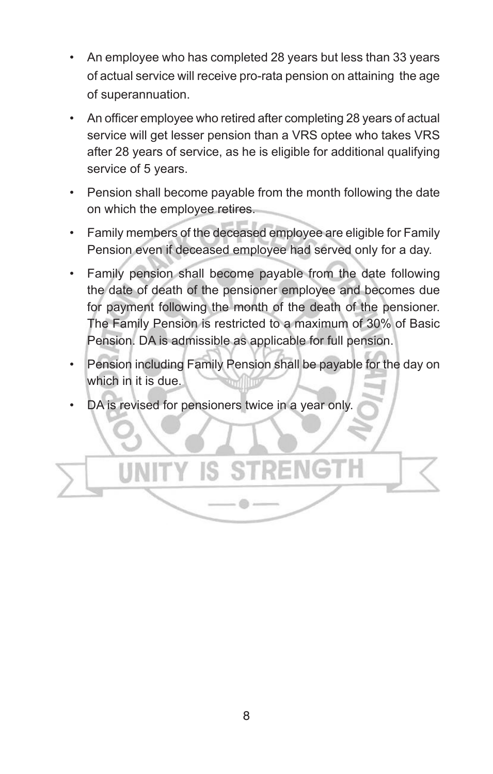- An employee who has completed 28 years but less than 33 years of actual service will receive pro-rata pension on attaining the age of superannuation.
- An officer employee who retired after completing 28 years of actual service will get lesser pension than a VRS optee who takes VRS after 28 years of service, as he is eligible for additional qualifying service of 5 years.
- Pension shall become payable from the month following the date on which the employee retires.
- Family members of the deceased employee are eligible for Family Pension even if deceased employee had served only for a day.
- Family pension shall become payable from the date following the date of death of the pensioner employee and becomes due for payment following the month of the death of the pensioner. The Family Pension is restricted to a maximum of 30% of Basic Pension. DA is admissible as applicable for full pension.
- Pension including Family Pension shall be payable for the day on which in it is due.
- DA is revised for pensioners twice in a year only.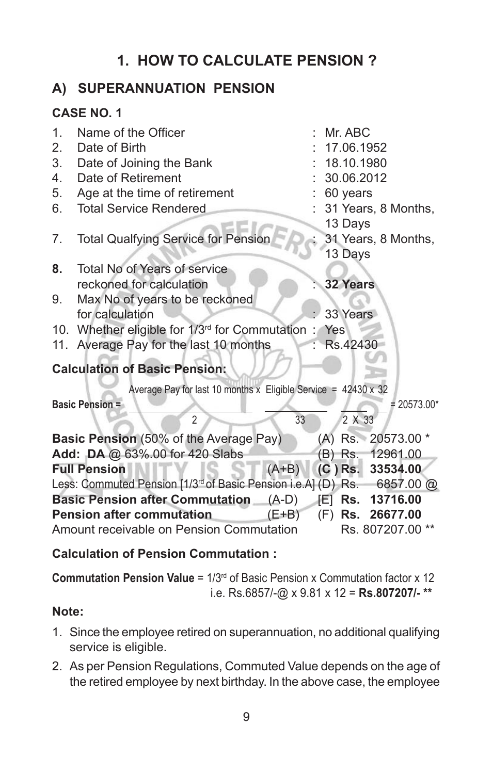# **1. HOW TO CALCULATE PENSION ?**

# **A) SUPERANNUATION PENSION**

## **CASE NO. 1**

| $\mathbf{1}$ . | Name of the Officer                                                                 | Mr. ABC             |
|----------------|-------------------------------------------------------------------------------------|---------------------|
| 2.             | Date of Birth                                                                       | 17.06.1952          |
| 3.             | Date of Joining the Bank                                                            | 18.10.1980          |
| 4.             | Date of Retirement                                                                  | 30.06.2012          |
| 5.             | Age at the time of retirement                                                       | 60 years            |
| 6.             | <b>Total Service Rendered</b>                                                       | 31 Years, 8 Months, |
|                |                                                                                     | 13 Days             |
| 7.             | <b>Total Qualfying Service for Pension</b>                                          | 31 Years, 8 Months, |
|                |                                                                                     | 13 Days             |
| 8.             | Total No of Years of service                                                        |                     |
|                | reckoned for calculation                                                            | <b>32 Years</b>     |
| 9.             | Max No of years to be reckoned                                                      |                     |
|                | for calculation                                                                     | 33 Years            |
|                | 10. Whether eligible for 1/3rd for Commutation                                      | Yes                 |
|                | 11. Average Pay for the last 10 months                                              | Rs.42430            |
|                | <b>Calculation of Basic Pension:</b>                                                |                     |
|                | Average Pay for last 10 months x Eligible Service = $42430 \times 32$               |                     |
|                | <b>Basic Pension =</b>                                                              | $= 20573.00*$       |
|                | $\overline{2}$<br>33                                                                | 2 X 33              |
|                | <b>Basic Pension</b> (50% of the Average Pay)                                       | (A) Rs. 20573.00 *  |
|                | Add: DA @ 63%.00 for 420 Slabs                                                      | (B) Rs. 12961.00    |
|                | <b>Full Pension</b><br>$(A+B)$                                                      | $(C)$ Rs. 33534.00  |
|                | Less: Commuted Pension [1/3 <sup>rd</sup> of Basic Pension i.e.A] (D) Rs. 6857.00 @ |                     |
|                | <b>Basic Pension after Commutation</b> (A-D)                                        | Rs. 13716.00<br>罔。  |
|                | <b>Pension after commutation</b><br>$(E+B)$                                         | (F) Rs. 26677.00    |
|                | Amount receivable on Pension Commutation                                            | Rs. 807207.00       |
|                |                                                                                     |                     |

#### **Calculation of Pension Commutation :**

**Commutation Pension Value** = 1/3rd of Basic Pension x Commutation factor x 12 i.e. Rs.6857/-@ x 9.81 x 12 = **Rs.807207/- \*\***

#### **Note:**

- 1. Since the employee retired on superannuation, no additional qualifying service is eligible.
- 2. As per Pension Regulations, Commuted Value depends on the age of the retired employee by next birthday. In the above case, the employee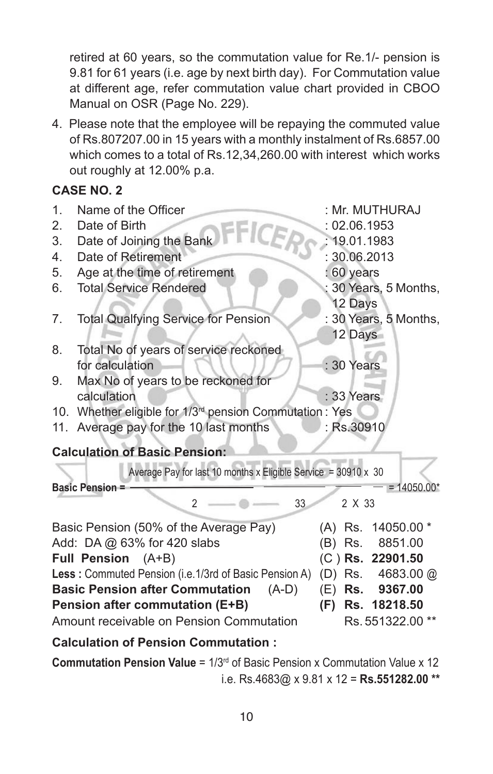retired at 60 years, so the commutation value for Re.1/- pension is 9.81 for 61 years (i.e. age by next birth day). For Commutation value at different age, refer commutation value chart provided in CBOO Manual on OSR (Page No. 229).

4. Please note that the employee will be repaying the commuted value of Rs.807207.00 in 15 years with a monthly instalment of Rs.6857.00 which comes to a total of Rs.12,34,260.00 with interest which works out roughly at 12.00% p.a.

#### **CASE NO. 2**

| $\mathbf{1}$ . | Name of the Officer                                                           | : Mr. MUTHURAJ          |  |  |  |  |  |
|----------------|-------------------------------------------------------------------------------|-------------------------|--|--|--|--|--|
| 2.             | Date of Birth<br>FFICER                                                       | : 02.06.1953            |  |  |  |  |  |
| 3.             | Date of Joining the Bank                                                      | 19.01.1983              |  |  |  |  |  |
| 4.             | Date of Retirement                                                            | : 30.06.2013            |  |  |  |  |  |
| 5.             | Age at the time of retirement                                                 | : 60 years              |  |  |  |  |  |
| 6.             | <b>Total Service Rendered</b>                                                 | 30 Years, 5 Months,     |  |  |  |  |  |
|                |                                                                               | 12 Days                 |  |  |  |  |  |
| 7.             | <b>Total Qualfying Service for Pension</b>                                    | : 30 Years, 5 Months,   |  |  |  |  |  |
|                |                                                                               | 12 Days                 |  |  |  |  |  |
| 8.             | Total No of years of service reckoned                                         |                         |  |  |  |  |  |
|                | for calculation                                                               | $: 30$ Years            |  |  |  |  |  |
| 9.             | Max No of years to be reckoned for                                            |                         |  |  |  |  |  |
|                | calculation                                                                   | : 33 Years              |  |  |  |  |  |
|                | 10. Whether eligible for 1/3 <sup>rd</sup> pension Commutation : Yes          |                         |  |  |  |  |  |
|                | 11. Average pay for the 10 last months                                        | : Rs.30910              |  |  |  |  |  |
|                | <b>Calculation of Basic Pension:</b>                                          |                         |  |  |  |  |  |
|                | Average Pay for last 10 months x Eligible Service = $30910 \times 30$         |                         |  |  |  |  |  |
|                | <b>Basic Pension =</b>                                                        | $= 14050.00*$           |  |  |  |  |  |
|                | $\mathfrak{p}$<br>33<br>2 X 33                                                |                         |  |  |  |  |  |
|                | Basic Pension (50% of the Average Pay)                                        | $(A)$ Rs.<br>14050.00 * |  |  |  |  |  |
|                | Add: DA @ 63% for 420 slabs                                                   | 8851.00<br>(B) Rs.      |  |  |  |  |  |
|                | Full Pension (A+B)                                                            | (C) Rs. 22901.50        |  |  |  |  |  |
|                | Less: Commuted Pension (i.e.1/3rd of Basic Pension A)<br>(D) Rs.<br>4683.00 @ |                         |  |  |  |  |  |
|                | <b>Basic Pension after Commutation</b><br>$(A-D)$                             | Rs. 9367.00<br>(E)      |  |  |  |  |  |
|                | <b>Pension after commutation (E+B)</b>                                        | (F)<br>Rs. 18218.50     |  |  |  |  |  |

Amount receivable on Pension Commutation Rs. 551322.00 \*\*

#### **Calculation of Pension Commutation :**

**Commutation Pension Value** = 1/3rd of Basic Pension x Commutation Value x 12 i.e. Rs.4683@ x 9.81 x 12 = **Rs.551282.00 \*\***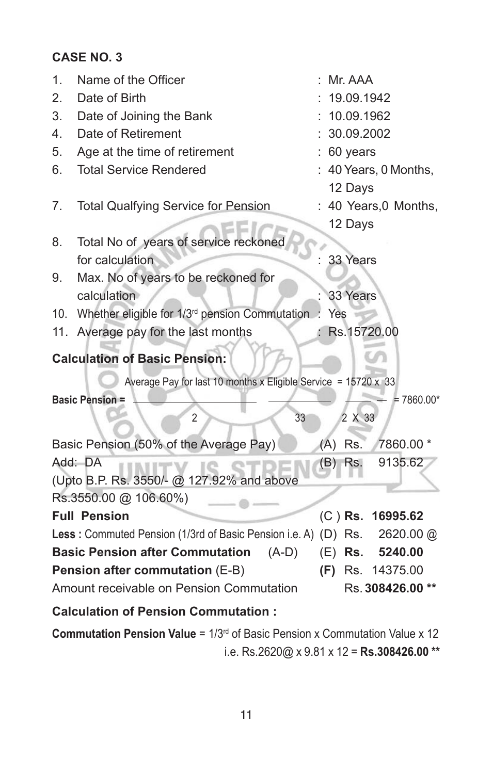## **CASE NO. 3**

| 1.  | Name of the Officer                                                      |     | Mr. AAA     |                     |  |
|-----|--------------------------------------------------------------------------|-----|-------------|---------------------|--|
| 2.  | Date of Birth                                                            |     | 19.09.1942  |                     |  |
| 3.  | Date of Joining the Bank                                                 |     | 10.09.1962  |                     |  |
| 4.  | Date of Retirement                                                       |     | 30.09.2002  |                     |  |
| 5.  | Age at the time of retirement                                            |     | 60 years    |                     |  |
| 6.  | <b>Total Service Rendered</b>                                            |     |             | 40 Years, 0 Months, |  |
|     |                                                                          |     | 12 Days     |                     |  |
| 7.  | <b>Total Qualfying Service for Pension</b>                               |     |             | 40 Years, 0 Months, |  |
|     |                                                                          |     | 12 Days     |                     |  |
| 8.  | Total No of years of service reckoned                                    |     |             |                     |  |
|     | for calculation                                                          |     | 33 Years    |                     |  |
| 9.  | Max. No of years to be reckoned for                                      |     |             |                     |  |
|     | calculation                                                              |     | 33 Years    |                     |  |
| 10. | Whether eligible for 1/3 <sup>rd</sup> pension Commutation               | Yes |             |                     |  |
| 11. | Average pay for the last months                                          |     | Rs.15720.00 |                     |  |
|     | <b>Calculation of Basic Pension:</b>                                     |     |             |                     |  |
|     | Average Pay for last 10 months x Eligible Service = $15720 \times 33$    |     |             |                     |  |
|     | <b>Basic Pension =</b>                                                   |     |             | $= 7860.00*$        |  |
|     | 33<br>$\overline{2}$                                                     |     | 2 X 33      |                     |  |
|     | Basic Pension (50% of the Average Pay)                                   |     | $(A)$ Rs.   | 7860.00 *           |  |
|     | Add: DA                                                                  |     | (B) Rs.     | 9135.62             |  |
|     | (Upto B.P. Rs. 3550/- @ 127.92% and above                                |     |             |                     |  |
|     | Rs.3550.00 @ 106.60%)                                                    |     |             |                     |  |
|     | <b>Full Pension</b>                                                      |     |             | (C) Rs. 16995.62    |  |
|     | Less: Commuted Pension (1/3rd of Basic Pension i.e. A) (D) Rs. 2620.00 @ |     |             |                     |  |
|     | <b>Basic Pension after Commutation</b><br>$(A-D)$                        |     |             | (E) Rs. 5240.00     |  |
|     | Pension after commutation (E-B)                                          |     |             | (F) Rs. 14375.00    |  |
|     | Amount receivable on Pension Commutation                                 |     |             | Rs. 308426.00 **    |  |
|     | <b>Calculation of Pension Commutation:</b>                               |     |             |                     |  |

**Commutation Pension Value** = 1/3<sup>rd</sup> of Basic Pension x Commutation Value x 12 i.e. Rs.2620@ x 9.81 x 12 = **Rs.308426.00 \*\***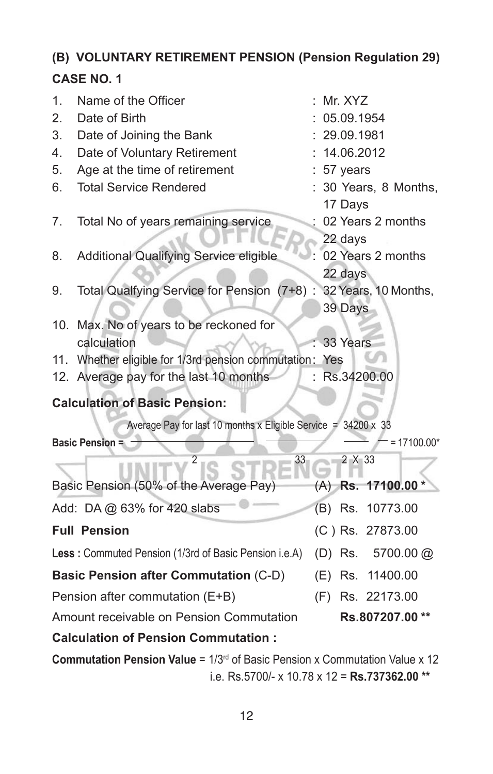# **(B) VOLUNTARY RETIREMENT PENSION (Pension Regulation 29)**

# **CASE NO. 1**

| 1.  | Name of the Officer                                                       | Mr. XYZ      |                     |  |
|-----|---------------------------------------------------------------------------|--------------|---------------------|--|
| 2.  | Date of Birth                                                             | 05.09.1954   |                     |  |
| 3.  | Date of Joining the Bank                                                  | 29.09.1981   |                     |  |
| 4.  | Date of Voluntary Retirement                                              | 14.06.2012   |                     |  |
| 5.  | Age at the time of retirement                                             | $: 57$ years |                     |  |
| 6.  | <b>Total Service Rendered</b>                                             | 17 Days      | 30 Years, 8 Months, |  |
| 7.  | Total No of years remaining service                                       | 22 days      | 02 Years 2 months   |  |
| 8.  | Additional Qualifying Service eligible                                    | 22 days      | 02 Years 2 months   |  |
| 9.  | Total Qualfying Service for Pension (7+8): 32 Years, 10 Months,           | 39 Days      |                     |  |
| 10. | Max. No of years to be reckoned for                                       |              |                     |  |
|     | calculation                                                               | 33 Years     |                     |  |
|     | 11. Whether eligible for 1/3rd pension commutation: Yes                   |              |                     |  |
|     | 12. Average pay for the last 10 months                                    |              | : Rs.34200.00       |  |
|     | <b>Calculation of Basic Pension:</b>                                      |              |                     |  |
|     | Average Pay for last 10 months x Eligible Service = 34200 x 33            |              |                     |  |
|     | <b>Basic Pension =</b>                                                    |              | $= 17100.00*$       |  |
|     | $\overline{2}$<br>33                                                      | 2 X 33       |                     |  |
|     | Basic Pension (50% of the Average Pay)                                    |              | (A) Rs. 17100.00 *  |  |
|     | Add: DA @ 63% for 420 slabs                                               |              | (B) Rs. 10773.00    |  |
|     | <b>Full Pension</b>                                                       |              | (C) Rs. 27873.00    |  |
|     | Less: Commuted Pension (1/3rd of Basic Pension i.e.A)                     |              | (D) Rs. 5700.00 @   |  |
|     | <b>Basic Pension after Commutation (C-D)</b>                              |              | (E) Rs. 11400.00    |  |
|     | Pension after commutation (E+B)                                           |              | (F) Rs. 22173.00    |  |
|     | Amount receivable on Pension Commutation                                  |              | Rs.807207.00**      |  |
|     | <b>Calculation of Pension Commutation:</b>                                |              |                     |  |
|     | usutation Bonaton Value - 4/0rd of Basic Bonaton y Commutation Value y 40 |              |                     |  |

**Commutation Pension Value** = 1/3rd of Basic Pension x Commutation Value x 12 i.e. Rs.5700/- x 10.78 x 12 = **Rs.737362.00 \*\***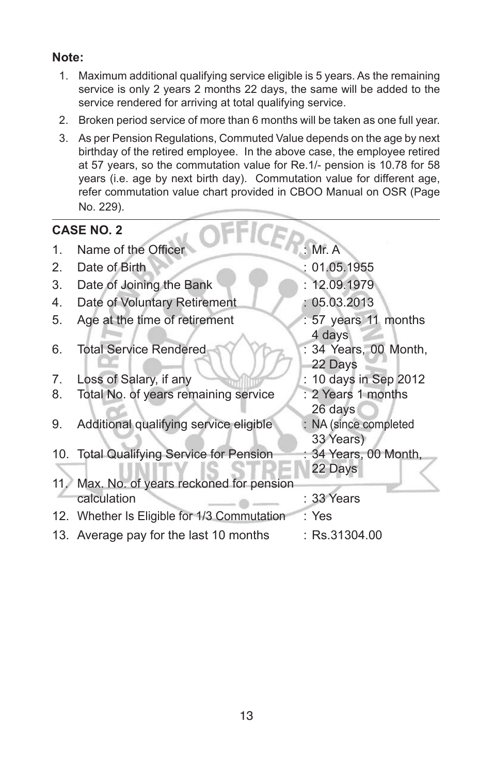#### **Note:**

- 1. Maximum additional qualifying service eligible is 5 years. As the remaining service is only 2 years 2 months 22 days, the same will be added to the service rendered for arriving at total qualifying service.
- 2. Broken period service of more than 6 months will be taken as one full year.
- 3. As per Pension Regulations, Commuted Value depends on the age by next birthday of the retired employee. In the above case, the employee retired at 57 years, so the commutation value for Re.1/- pension is 10.78 for 58 years (i.e. age by next birth day). Commutation value for different age, refer commutation value chart provided in CBOO Manual on OSR (Page No. 229).

|     | <b>CASE NO. 2</b>                           |                                    |
|-----|---------------------------------------------|------------------------------------|
| 1.  | Name of the Officer                         | : $Mr. A$                          |
| 2.  | Date of Birth                               | 01.05.1955                         |
| 3.  | Date of Joining the Bank                    | : 12.09.1979                       |
| 4.  | Date of Voluntary Retirement                | : 05.03.2013                       |
| 5.  | Age at the time of retirement               | : 57 years 11 months<br>4 days     |
| 6.  | <b>Total Service Rendered</b>               | : 34 Years, 00 Month,<br>22 Days   |
| 7.  | Loss of Salary, if any                      | : 10 days in Sep 2012              |
| 8.  | Total No. of years remaining service        | : 2 Years 1 months<br>26 days      |
| 9.  | Additional qualifying service eligible      | : NA (since completed<br>33 Years) |
|     | 10. Total Qualifying Service for Pension    | : 34 Years, 00 Month,<br>22 Days   |
| 11/ | Max. No. of years reckoned for pension      |                                    |
|     | calculation                                 | : 33 Years                         |
|     | 12. Whether Is Eligible for 1/3 Commutation | : Yes                              |
|     | 13. Average pay for the last 10 months      | :Rs.31304.00                       |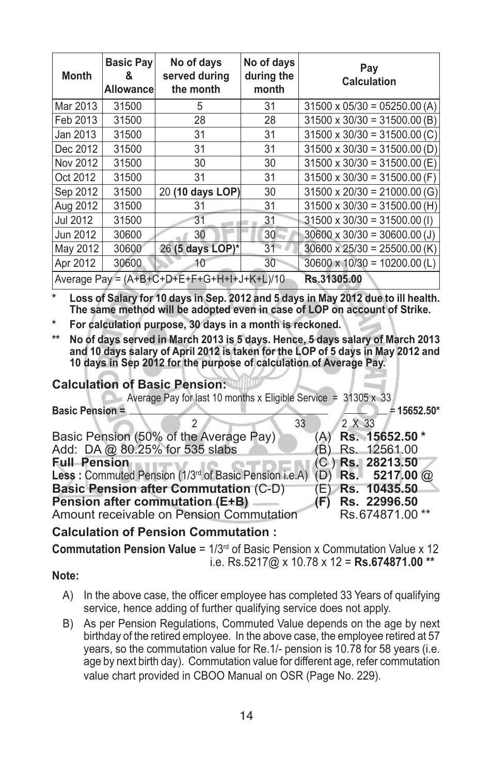| <b>Month</b>                               | <b>Basic Pay</b><br>&<br><b>Allowancel</b> | No of days<br>served during<br>the month | No of days<br>during the<br>month | Pay<br><b>Calculation</b>           |
|--------------------------------------------|--------------------------------------------|------------------------------------------|-----------------------------------|-------------------------------------|
| Mar 2013                                   | 31500                                      | 5                                        | 31                                | $31500 \times 05/30 = 05250.00 (A)$ |
| Feb 2013                                   | 31500                                      | 28                                       | 28                                | $31500 \times 30/30 = 31500.00$ (B) |
| Jan 2013                                   | 31500                                      | 31                                       | 31                                | $31500 \times 30/30 = 31500.00$ (C) |
| Dec 2012                                   | 31500                                      | 31                                       | 31                                | $31500 \times 30/30 = 31500.00$ (D) |
| Nov 2012                                   | 31500                                      | 30                                       | 30                                | $31500 \times 30/30 = 31500.00$ (E) |
| Oct 2012                                   | 31500                                      | 31                                       | 31                                | $31500 \times 30/30 = 31500.00$ (F) |
| Sep 2012                                   | 31500                                      | 20 (10 days LOP)                         | 30                                | $31500 \times 20/30 = 21000.00(G)$  |
| Aug 2012                                   | 31500                                      | 31                                       | 31                                | $31500 \times 30/30 = 31500.00$ (H) |
| Jul 2012                                   | 31500                                      | 31                                       | 31                                | $31500 \times 30/30 = 31500.00$ (1) |
| Jun 2012                                   | 30600                                      | 30                                       | 30                                | $30600 \times 30/30 = 30600.00$ (J) |
| May 2012                                   | 30600                                      | 26 (5 days LOP)*                         | 31                                | $30600 \times 25/30 = 25500.00 (K)$ |
| Apr 2012                                   | 30600                                      | 10                                       | 30                                | $30600 \times 10/30 = 10200.00$ (L) |
| Average Pay = (A+B+C+D+E+F+G+H+I+J+K+L)/10 |                                            |                                          | Rs.31305.00                       |                                     |

**\* Loss of Salary for 10 days in Sep. 2012 and 5 days in May 2012 due to ill health. The same method will be adopted even in case of LOP on account of Strike.**

**\* For calculation purpose, 30 days in a month is reckoned.**

**\*\* No of days served in March 2013 is 5 days. Hence, 5 days salary of March 2013 and 10 days salary of April 2012 is taken for the LOP of 5 days in May 2012 and 10 days in Sep 2012 for the purpose of calculation of Average Pay.**

#### **Calculation of Basic Pension:**

| Average Pay for last 10 months x Eligible Service = $31305 \times 33$               |                    |  |
|-------------------------------------------------------------------------------------|--------------------|--|
| <b>Basic Pension =</b>                                                              | $= 15652.50*$      |  |
| 33                                                                                  | 2 X 33             |  |
| Basic Pension (50% of the Average Pay)                                              | (A) Rs. 15652.50 * |  |
| Add: DA @ 80.25% for 535 slabs                                                      | (B) Rs. 12561.00   |  |
| <b>Full Pension</b>                                                                 | $(C)$ Rs. 28213.50 |  |
| Less: Commuted Pension (1/3 <sup>rd</sup> of Basic Pension i.e.A) (D) Rs. 5217.00 @ |                    |  |
| <b>Basic Pension after Commutation (C-D)</b>                                        | (E) Rs. 10435.50   |  |
| Pension after commutation (E+B)                                                     | $(F)$ Rs. 22996.50 |  |
| Amount receivable on Pension Commutation                                            | Rs.674871.00**     |  |
|                                                                                     |                    |  |

#### **Calculation of Pension Commutation :**

**Commutation Pension Value** = 1/3rd of Basic Pension x Commutation Value x 12 i.e. Rs.5217@ x 10.78 x 12 = **Rs.674871.00 \*\***

#### **Note:**

- A) In the above case, the officer employee has completed 33 Years of qualifying service, hence adding of further qualifying service does not apply.
- B) As per Pension Regulations, Commuted Value depends on the age by next birthday of the retired employee. In the above case, the employee retired at 57 years, so the commutation value for Re.1/- pension is 10.78 for 58 years (i.e. age by next birth day). Commutation value for different age, refer commutation value chart provided in CBOO Manual on OSR (Page No. 229).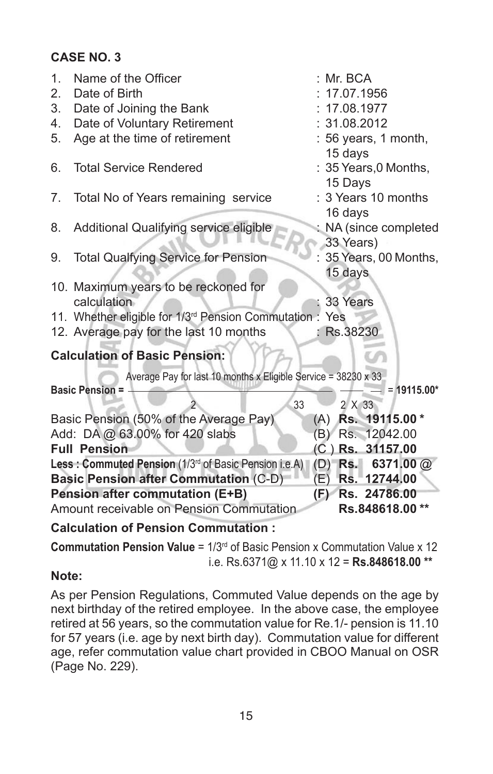### **CASE NO. 3**

| 1.<br>2. | Name of the Officer<br>Date of Birth                                 | : Mr. BCA<br>17.07.1956 |
|----------|----------------------------------------------------------------------|-------------------------|
| 3.       | Date of Joining the Bank                                             | 17.08.1977              |
| 4.       | Date of Voluntary Retirement                                         | : 31.08.2012            |
| 5.       | Age at the time of retirement                                        | : 56 years, 1 month,    |
|          |                                                                      | 15 days                 |
| 6.       | <b>Total Service Rendered</b>                                        | : 35 Years, 0 Months,   |
|          |                                                                      | 15 Days                 |
| 7.       | Total No of Years remaining service                                  | : 3 Years 10 months     |
|          |                                                                      | 16 days                 |
| 8.       | Additional Qualifying service eligible                               | NA (since completed     |
|          |                                                                      | 33 Years)               |
| 9.       | <b>Total Qualfying Service for Pension</b>                           | 35 Years, 00 Months,    |
|          |                                                                      | 15 days                 |
|          | 10. Maximum years to be reckoned for                                 |                         |
|          | calculation                                                          | 33 Years                |
|          | 11. Whether eligible for 1/3 <sup>rd</sup> Pension Commutation : Yes |                         |
|          | 12. Average pay for the last 10 months                               | Rs.38230<br>٠           |
|          | <b>Calculation of Basic Pension:</b>                                 |                         |
|          | Average Pay for last 10 months x Eligible Service = 38230 x 33       |                         |
|          | <b>Basic Pension =</b>                                               | $= 19115.00*$           |
|          | 33                                                                   | 2 X 33                  |
|          | Basic Pension (50% of the Average Pay)                               | (A) Rs. 19115.00 *      |
|          | Add: DA @ 63.00% for 420 slabs                                       | Rs. 12042.00<br>(B)     |
|          | <b>Full Pension</b>                                                  | $(C)$ Rs. 31157.00      |
|          | Less: Commuted Pension (1/3rd of Basic Pension i.e.A)                | (D) Rs. 6371.00 @       |
|          | <b>Basic Pension after Commutation (C-D)</b>                         | (E)<br>Rs. 12744.00     |
|          | <b>Pension after commutation (E+B)</b>                               | Rs. 24786.00<br>(E)     |
|          | Amount receivable on Pension Commutation                             | Rs.848618.00**          |
|          | <b>Calculation of Pension Commutation:</b>                           |                         |

**Commutation Pension Value** = 1/3rd of Basic Pension x Commutation Value x 12

# i.e. Rs.6371@ x 11.10 x 12 = **Rs.848618.00 \*\***

#### **Note:**

As per Pension Regulations, Commuted Value depends on the age by next birthday of the retired employee. In the above case, the employee retired at 56 years, so the commutation value for Re.1/- pension is 11.10 for 57 years (i.e. age by next birth day). Commutation value for different age, refer commutation value chart provided in CBOO Manual on OSR (Page No. 229).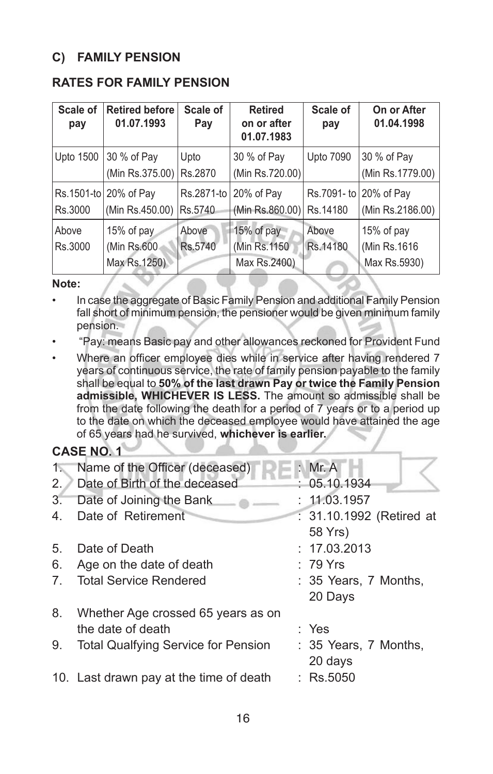#### **C) FAMILY PENSION**

#### **RATES FOR FAMILY PENSION**

| Scale of<br>pay  | <b>Retired before</b><br>01.07.1993       | Scale of<br>Pay       | <b>Retired</b><br>on or after<br>01.07.1983 | Scale of<br>pay        | On or After<br>01.04.1998                   |
|------------------|-------------------------------------------|-----------------------|---------------------------------------------|------------------------|---------------------------------------------|
| Upto 1500        | 30 % of Pay<br>(Min Rs.375.00)            | Upto<br>Rs.2870       | 30 % of Pay<br>(Min Rs.720.00)              | <b>Upto 7090</b>       | 30 % of Pay<br>(Min Rs.1779.00)             |
| Rs.3000          | Rs.1501-to 20% of Pay<br>(Min Rs.450.00)  | Rs.2871-to<br>Rs.5740 | 20% of Pay<br>(Min Rs.860.00)               | Rs.7091-to<br>Rs.14180 | 20% of Pay<br>(Min Rs.2186.00)              |
| Above<br>Rs.3000 | 15% of pay<br>(Min Rs.600<br>Max Rs.1250) | Above<br>Rs.5740      | 15% of pay<br>(Min Rs.1150)<br>Max Rs.2400) | Above<br>Rs.14180      | 15% of pay<br>(Min Rs.1616)<br>Max Rs.5930) |

#### **Note:**

- In case the aggregate of Basic Family Pension and additional Family Pension fall short of minimum pension, the pensioner would be given minimum family pension.
- "Pay: means Basic pay and other allowances reckoned for Provident Fund
- Where an officer employee dies while in service after having rendered 7 years of continuous service, the rate of family pension payable to the family shall be equal to **50% of the last drawn Pay or twice the Family Pension admissible, WHICHEVER IS LESS.** The amount so admissible shall be from the date following the death for a period of 7 years or to a period up to the date on which the deceased employee would have attained the age of 65 years had he survived, **whichever is earlier.**

#### **CASE NO. 1**

| $1\%$          | Name of the Officer (deceased)             | : $Mr. A$                |
|----------------|--------------------------------------------|--------------------------|
| 2.             | Date of Birth of the deceased              | : 05.10.1934             |
| 3.             | Date of Joining the Bank                   | : 11.03.1957             |
| 4.             | Date of Retirement                         | : 31.10.1992 (Retired at |
|                |                                            | 58 Yrs)                  |
| 5.             | Date of Death                              | : 17.03.2013             |
| 6.             | Age on the date of death                   | $: 79$ Yrs               |
| 7 <sub>1</sub> | <b>Total Service Rendered</b>              | : 35 Years, 7 Months,    |
|                |                                            | 20 Days                  |
| 8.             | Whether Age crossed 65 years as on         |                          |
|                | the date of death                          | : Yes                    |
| 9.             | <b>Total Qualfying Service for Pension</b> | : 35 Years, 7 Months,    |
|                |                                            | 20 days                  |
|                | 10. Last drawn pay at the time of death    | $:$ Rs.5050              |
|                |                                            |                          |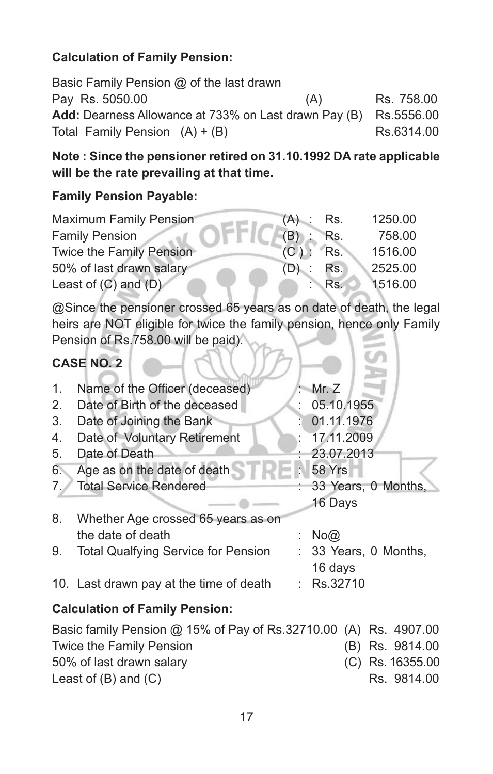#### **Calculation of Family Pension:**

Basic Family Pension @ of the last drawn Pay Rs. 5050.00 (A) Rs. 758.00 Add: Dearness Allowance at 733% on Last drawn Pay (B) Rs.5556.00 Total Family Pension  $(A) + (B)$  Rs.6314.00

## **Note : Since the pensioner retired on 31.10.1992 DA rate applicable will be the rate prevailing at that time.**

#### **Family Pension Payable:**

| <b>Maximum Family Pension</b> | (A) | Rs.         | 1250.00 |
|-------------------------------|-----|-------------|---------|
| <b>Family Pension</b>         | (B) | Rs.         | 758.00  |
| Twice the Family Pension      | (C) | Rs.         | 1516.00 |
| 50% of last drawn salary      | (D) | Rs.         | 2525.00 |
| Least of $(C)$ and $(D)$      |     | $R_{\rm S}$ | 1516.00 |

@Since the pensioner crossed 65 years as on date of death, the legal heirs are NOT eligible for twice the family pension, hence only Family Pension of Rs.758.00 will be paid).

 $\triangleleft$ 

# **CASE NO. 2**

| $\mathbf{1}$ . | Name of the Officer (deceased)             | : Mr. $Z$             |
|----------------|--------------------------------------------|-----------------------|
| 2.             | Date of Birth of the deceased              | 05.10.1955            |
| 3.             | Date of Joining the Bank                   | 01.11.1976            |
| 4.             | Date of Voluntary Retirement               | 17.11.2009            |
| 5.             | Date of Death                              | : 23.07.2013          |
| 6.             | Age as on the date of death                | : 58 Yrs              |
|                | <b>Total Service Rendered</b>              | : 33 Years, 0 Months, |
|                |                                            | 16 Days               |
| 8.             | Whether Age crossed 65 years as on         |                       |
|                | the date of death                          | No@                   |
| 9.             | <b>Total Qualfying Service for Pension</b> | : 33 Years, 0 Months, |
|                |                                            | 16 days               |
|                | 10. Last drawn pay at the time of death    | $:$ Rs.32710          |
|                | Calculation of Family Doneion:             |                       |

#### **Calculation of Family Pension:**

| Basic family Pension @ 15% of Pay of Rs.32710.00 (A) Rs. 4907.00 |                    |
|------------------------------------------------------------------|--------------------|
| Twice the Family Pension                                         | (B) Rs. 9814.00    |
| 50% of last drawn salary                                         | $(C)$ Rs. 16355.00 |
| Least of $(B)$ and $(C)$                                         | Rs. 9814.00        |
|                                                                  |                    |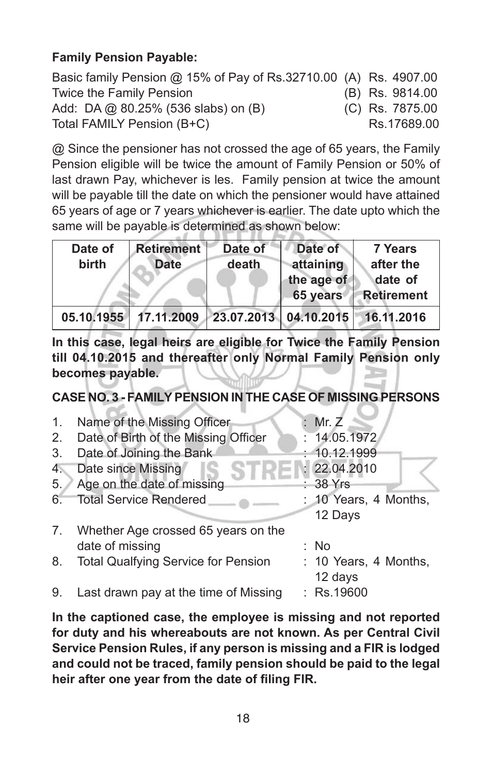### **Family Pension Payable:**

| Basic family Pension @ 15% of Pay of Rs.32710.00 (A) Rs. 4907.00 |  |                 |
|------------------------------------------------------------------|--|-----------------|
| Twice the Family Pension                                         |  | (B) Rs. 9814.00 |
| Add: DA @ 80.25% (536 slabs) on (B)                              |  | (C) Rs. 7875.00 |
| Total FAMILY Pension (B+C)                                       |  | Rs.17689.00     |

@ Since the pensioner has not crossed the age of 65 years, the Family Pension eligible will be twice the amount of Family Pension or 50% of last drawn Pay, whichever is les. Family pension at twice the amount will be payable till the date on which the pensioner would have attained 65 years of age or 7 years whichever is earlier. The date upto which the same will be payable is determined as shown below:

| Date of<br>birth | <b>Retirement</b><br><b>Date</b> | Date of<br>death | Date of<br>attaining<br>the age of<br>65 years | <b>7 Years</b><br>after the<br>date of<br><b>Retirement</b> |
|------------------|----------------------------------|------------------|------------------------------------------------|-------------------------------------------------------------|
| 05.10.1955       | 17.11.2009 23.07.2013 04.10.2015 |                  |                                                | 16.11.2016                                                  |

**In this case, legal heirs are eligible for Twice the Family Pension till 04.10.2015 and thereafter only Normal Family Pension only becomes payable.**

**CASE NO. 3 - FAMILY PENSION IN THE CASE OF MISSING PERSONS**

| 1. | Name of the Missing Officer                | : Mr. $Z$             |
|----|--------------------------------------------|-----------------------|
| 2. | Date of Birth of the Missing Officer       | : 14.05.1972          |
| 3. | Date of Joining the Bank                   | : 10.12.1999          |
| 4. | Date since Missing                         | : 22.04.2010          |
| 5. | Age on the date of missing                 | $: 38$ Yrs            |
| 6. | <b>Total Service Rendered</b>              | : 10 Years, 4 Months, |
|    |                                            | 12 Days               |
| 7. | Whether Age crossed 65 years on the        |                       |
|    | date of missing                            | : No                  |
| 8. | <b>Total Qualfying Service for Pension</b> | : 10 Years, 4 Months, |
|    |                                            | 12 days               |
| 9. | Last drawn pay at the time of Missing      | $:$ Rs.19600          |
|    |                                            |                       |

**In the captioned case, the employee is missing and not reported for duty and his whereabouts are not known. As per Central Civil Service Pension Rules, if any person is missing and a FIR is lodged and could not be traced, family pension should be paid to the legal heir after one year from the date of filing FIR.**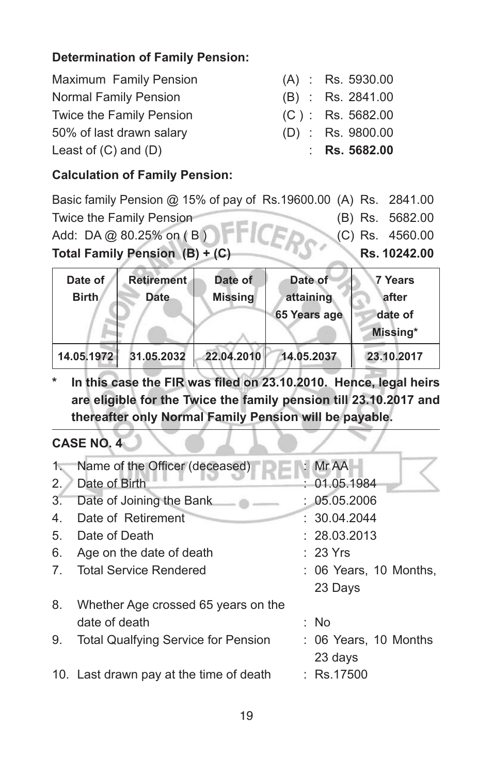### **Determination of Family Pension:**

| Maximum Family Pension   | $(A)$ : Rs. 5930.00 |
|--------------------------|---------------------|
| Normal Family Pension    | $(B)$ : Rs. 2841.00 |
| Twice the Family Pension | $(C)$ : Rs. 5682.00 |
| 50% of last drawn salary | $(D)$ : Rs. 9800.00 |
| Least of $(C)$ and $(D)$ | : Rs. $5682.00$     |

#### **Calculation of Family Pension:**

Basic family Pension @ 15% of pay of Rs.19600.00 (A) Rs. 2841.00 Twice the Family Pension (B) Rs. 5682.00 Add: DA @ 80.25% on (B) (C) Rs. 4560.00 **Total Family Pension (B) + (C) <b>Rs.** 10242.00

| Date of<br><b>Birth</b> | <b>Retirement</b><br><b>Date</b> | Date of<br><b>Missing</b> | Date of<br>attaining | 7 Years<br>lafter   |
|-------------------------|----------------------------------|---------------------------|----------------------|---------------------|
|                         |                                  |                           | 65 Years age         | date of<br>Missing* |
| 14.05.1972              | 31.05.2032                       | 22.04.2010                | 14.05.2037           | 23.10.2017          |

**\* In this case the FIR was filed on 23.10.2010. Hence, legal heirs are eligible for the Twice the family pension till 23.10.2017 and thereafter only Normal Family Pension will be payable.**

## **CASE NO. 4**

| $1\%$ | Name of the Officer (deceased)             | : Mr AA                |
|-------|--------------------------------------------|------------------------|
| 2.    | Date of Birth                              | : 01.05.1984           |
| 3.    | Date of Joining the Bank                   | : 05.05.2006           |
| 4.    | Date of Retirement                         | : 30.04.2044           |
| 5.    | Date of Death                              | : 28.03.2013           |
| 6.    | Age on the date of death                   | : 23 Yrs               |
| 7.    | <b>Total Service Rendered</b>              | : 06 Years, 10 Months, |
|       |                                            | 23 Days                |
| 8.    | Whether Age crossed 65 years on the        |                        |
|       | date of death                              | : No                   |
| 9.    | <b>Total Qualfying Service for Pension</b> | : 06 Years, 10 Months  |
|       |                                            | 23 days                |
|       | 10. Last drawn pay at the time of death    | $:$ Rs.17500           |
|       |                                            |                        |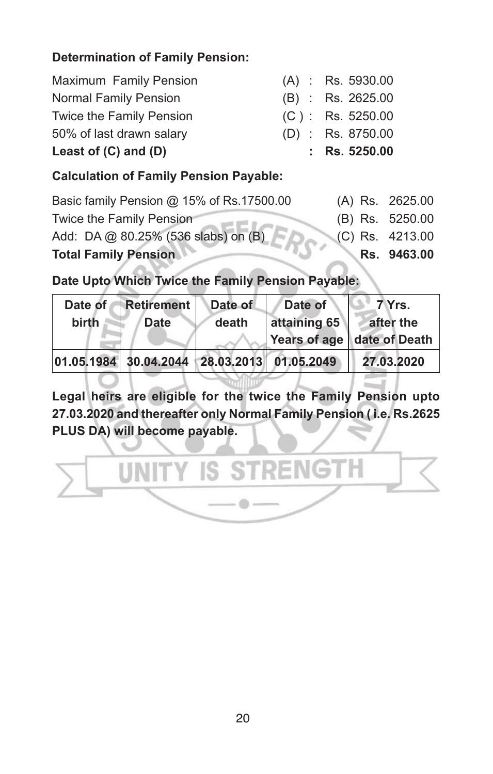### **Determination of Family Pension:**

| Maximum Family Pension       | $(A)$ : Rs. 5930.00 |
|------------------------------|---------------------|
| <b>Normal Family Pension</b> | $(B)$ : Rs. 2625.00 |
| Twice the Family Pension     | $(C)$ : Rs. 5250.00 |
| 50% of last drawn salary     | $(D)$ : Rs. 8750.00 |
| Least of $(C)$ and $(D)$     | : $Rs. 5250.00$     |

#### **Calculation of Family Pension Payable:**

| <b>Total Family Pension</b>               | Rs. 9463.00       |
|-------------------------------------------|-------------------|
| Add: DA @ 80.25% (536 slabs) on (B)       | $(C)$ Rs. 4213.00 |
| Twice the Family Pension                  | (B) Rs. 5250.00   |
| Basic family Pension @ 15% of Rs.17500.00 | (A) Rs. 2625.00   |

**Date Upto Which Twice the Family Pension Payable:**

| Date of<br>birth | <b>Retirement</b><br><b>Date</b> | Date of<br>death | Date of<br>attaining 65 | 7 Yrs.<br>after the<br>Years of age   date of Death |
|------------------|----------------------------------|------------------|-------------------------|-----------------------------------------------------|
| 01.05.1984       | 30.04.2044 28.03.2013 01.05.2049 |                  |                         | 27.03.2020                                          |

**Legal heirs are eligible for the twice the Family Pension upto 27.03.2020 and thereafter only Normal Family Pension ( i.e. Rs.2625 PLUS DA) will become payable.**

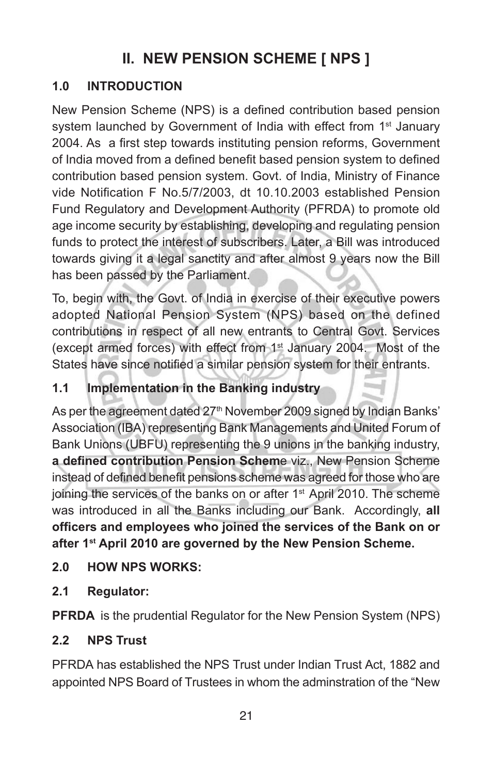# **II. NEW PENSION SCHEME [ NPS ]**

# **1.0 INTRODUCTION**

New Pension Scheme (NPS) is a defined contribution based pension system launched by Government of India with effect from 1<sup>st</sup> January 2004. As a first step towards instituting pension reforms, Government of India moved from a defined benefit based pension system to defined contribution based pension system. Govt. of India, Ministry of Finance vide Notification F No.5/7/2003, dt 10.10.2003 established Pension Fund Regulatory and Development Authority (PFRDA) to promote old age income security by establishing, developing and regulating pension funds to protect the interest of subscribers. Later, a Bill was introduced towards giving it a legal sanctity and after almost 9 years now the Bill has been passed by the Parliament.

To, begin with, the Govt. of India in exercise of their executive powers adopted National Pension System (NPS) based on the defined contributions in respect of all new entrants to Central Govt. Services (except armed forces) with effect from 1<sup>st</sup> January 2004. Most of the States have since notified a similar pension system for their entrants.

# **1.1 Implementation in the Banking industry**

As per the agreement dated 27<sup>th</sup> November 2009 signed by Indian Banks' Association (IBA) representing Bank Managements and United Forum of Bank Unions (UBFU) representing the 9 unions in the banking industry, **a defined contribution Pension Schem**e viz., New Pension Scheme instead of defined benefit pensions scheme was agreed for those who are joining the services of the banks on or after 1<sup>st</sup> April 2010. The scheme was introduced in all the Banks including our Bank. Accordingly, **all officers and employees who joined the services of the Bank on or after 1st April 2010 are governed by the New Pension Scheme.**

## **2.0 HOW NPS WORKS:**

**2.1 Regulator:**

**PFRDA** is the prudential Regulator for the New Pension System (NPS)

## **2.2 NPS Trust**

PFRDA has established the NPS Trust under Indian Trust Act, 1882 and appointed NPS Board of Trustees in whom the adminstration of the "New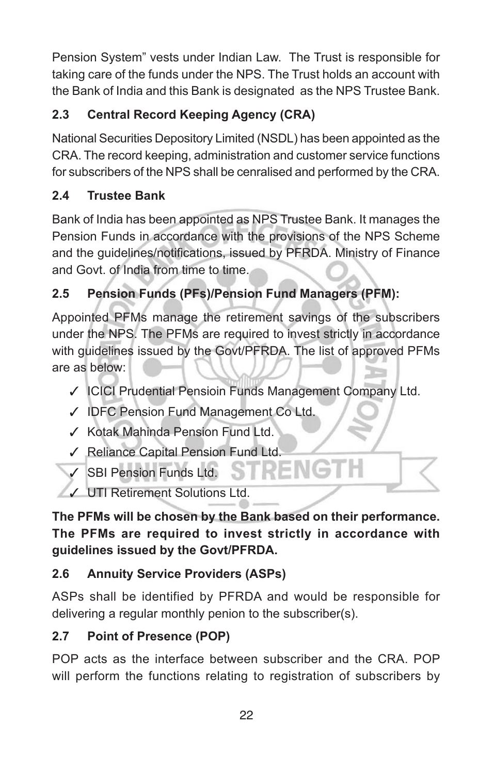Pension System" vests under Indian Law. The Trust is responsible for taking care of the funds under the NPS. The Trust holds an account with the Bank of India and this Bank is designated as the NPS Trustee Bank.

# **2.3 Central Record Keeping Agency (CRA)**

National Securities Depository Limited (NSDL) has been appointed as the CRA. The record keeping, administration and customer service functions for subscribers of the NPS shall be cenralised and performed by the CRA.

# **2.4 Trustee Bank**

Bank of India has been appointed as NPS Trustee Bank. It manages the Pension Funds in accordance with the provisions of the NPS Scheme and the guidelines/notifications, issued by PFRDA. Ministry of Finance and Govt. of India from time to time.

# **2.5 Pension Funds (PFs)/Pension Fund Managers (PFM):**

Appointed PFMs manage the retirement savings of the subscribers under the NPS. The PFMs are required to invest strictly in accordance with guidelines issued by the Govt/PFRDA. The list of approved PFMs are as below:

- ✓ ICICI Prudential Pensioin Funds Management Company Ltd.
- ✓ IDFC Pension Fund Management Co Ltd.
- ✓ Kotak Mahinda Pension Fund Ltd.
- ✓ Reliance Capital Pension Fund Ltd.
- **SBI Pension Funds Ltd.**
- ✓ UTI Retirement Solutions Ltd.

**The PFMs will be chosen by the Bank based on their performance. The PFMs are required to invest strictly in accordance with guidelines issued by the Govt/PFRDA.**

# **2.6 Annuity Service Providers (ASPs)**

ASPs shall be identified by PFRDA and would be responsible for delivering a regular monthly penion to the subscriber(s).

# **2.7 Point of Presence (POP)**

POP acts as the interface between subscriber and the CRA. POP will perform the functions relating to registration of subscribers by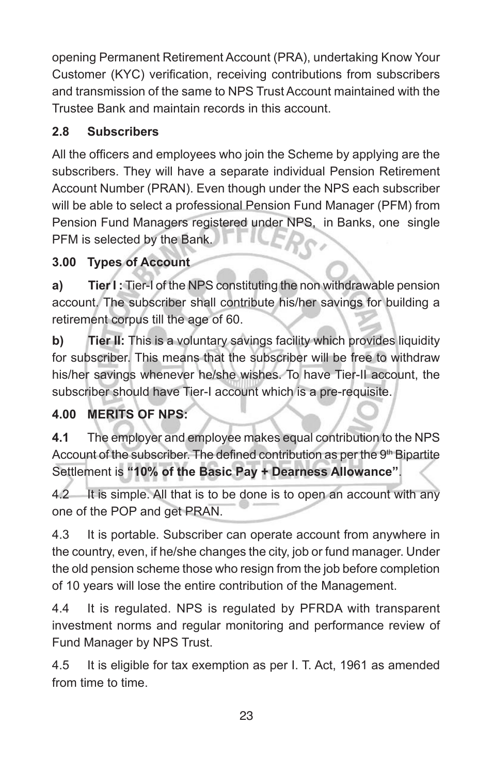opening Permanent Retirement Account (PRA), undertaking Know Your Customer (KYC) verification, receiving contributions from subscribers and transmission of the same to NPS Trust Account maintained with the Trustee Bank and maintain records in this account.

# **2.8 Subscribers**

All the officers and employees who join the Scheme by applying are the subscribers. They will have a separate individual Pension Retirement Account Number (PRAN). Even though under the NPS each subscriber will be able to select a professional Pension Fund Manager (PFM) from Pension Fund Managers registered under NPS, in Banks, one single PFM is selected by the Bank.

# **3.00 Types of Account**

**a) Tier I :** Tier-I of the NPS constituting the non withdrawable pension account. The subscriber shall contribute his/her savings for building a retirement corpus till the age of 60.

**b) Tier II:** This is a voluntary savings facility which provides liquidity for subscriber. This means that the subscriber will be free to withdraw his/her savings whenever he/she wishes. To have Tier-II account, the subscriber should have Tier-I account which is a pre-requisite.

## **4.00 MERITS OF NPS:**

**4.1** The employer and employee makes equal contribution to the NPS Account of the subscriber. The defined contribution as per the 9<sup>th</sup> Bipartite Settlement is **"10% of the Basic Pay + Dearness Allowance"**.

4.2 It is simple. All that is to be done is to open an account with any one of the POP and get PRAN.

4.3 It is portable. Subscriber can operate account from anywhere in the country, even, if he/she changes the city, job or fund manager. Under the old pension scheme those who resign from the job before completion of 10 years will lose the entire contribution of the Management.

4.4 It is regulated. NPS is regulated by PFRDA with transparent investment norms and regular monitoring and performance review of Fund Manager by NPS Trust.

4.5 It is eligible for tax exemption as per I. T. Act, 1961 as amended from time to time.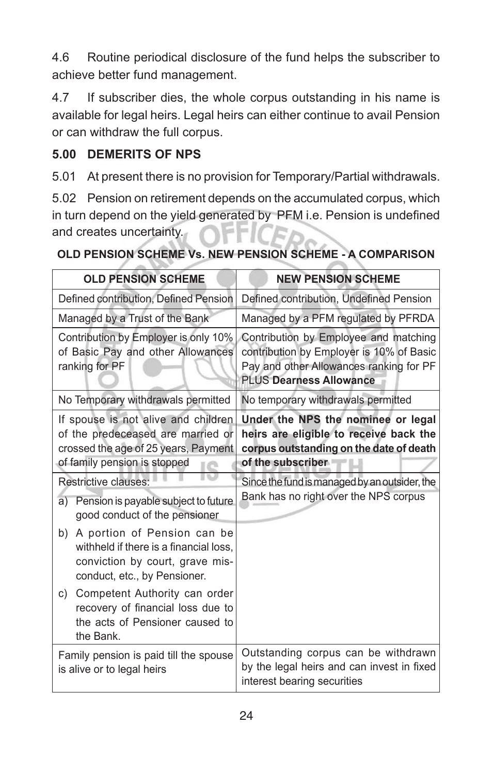4.6 Routine periodical disclosure of the fund helps the subscriber to achieve better fund management.

4.7 If subscriber dies, the whole corpus outstanding in his name is available for legal heirs. Legal heirs can either continue to avail Pension or can withdraw the full corpus.

#### **5.00 DEMERITS OF NPS**

5.01 At present there is no provision for Temporary/Partial withdrawals.

5.02 Pension on retirement depends on the accumulated corpus, which in turn depend on the yield generated by PFM i.e. Pension is undefined and creates uncertainty.

| <b>OLD PENSION SCHEME</b>                                                                                                                        | <b>NEW PENSION SCHEME</b>                                                                                                                                      |  |  |  |
|--------------------------------------------------------------------------------------------------------------------------------------------------|----------------------------------------------------------------------------------------------------------------------------------------------------------------|--|--|--|
|                                                                                                                                                  |                                                                                                                                                                |  |  |  |
| Defined contribution, Defined Pension                                                                                                            | Defined contribution, Undefined Pension                                                                                                                        |  |  |  |
| Managed by a Trust of the Bank                                                                                                                   | Managed by a PFM regulated by PFRDA                                                                                                                            |  |  |  |
| Contribution by Employer is only 10%<br>of Basic Pay and other Allowances<br>ranking for PF                                                      | Contribution by Employee and matching<br>contribution by Employer is 10% of Basic<br>Pay and other Allowances ranking for PF<br><b>PLUS Dearness Allowance</b> |  |  |  |
| No Temporary withdrawals permitted                                                                                                               | No temporary withdrawals permitted                                                                                                                             |  |  |  |
| If spouse is not alive and children<br>of the predeceased are married or<br>crossed the age of 25 years, Payment<br>of family pension is stopped | Under the NPS the nominee or legal<br>heirs are eligible to receive back the<br>corpus outstanding on the date of death<br>of the subscriber                   |  |  |  |
| <b>Restrictive clauses:</b>                                                                                                                      | Since the fund is managed by an outsider, the                                                                                                                  |  |  |  |
| Pension is payable subject to future<br>a)<br>good conduct of the pensioner                                                                      | Bank has no right over the NPS corpus                                                                                                                          |  |  |  |
| b) A portion of Pension can be<br>withheld if there is a financial loss.<br>conviction by court, grave mis-<br>conduct, etc., by Pensioner.      |                                                                                                                                                                |  |  |  |
| c) Competent Authority can order<br>recovery of financial loss due to<br>the acts of Pensioner caused to<br>the Bank.                            |                                                                                                                                                                |  |  |  |
| Family pension is paid till the spouse<br>is alive or to legal heirs                                                                             | Outstanding corpus can be withdrawn<br>by the legal heirs and can invest in fixed<br>interest bearing securities                                               |  |  |  |

#### **OLD PENSION SCHEME Vs. NEW PENSION SCHEME - A COMPARISON**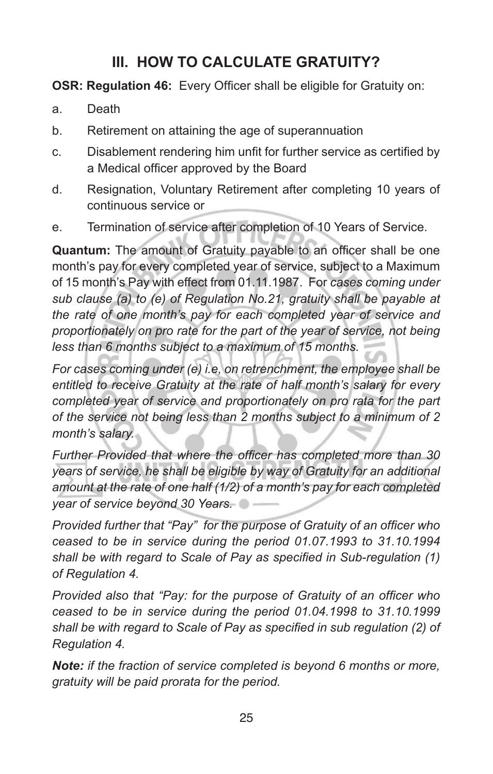# **III. HOW TO CALCULATE GRATUITY?**

**OSR: Regulation 46:** Every Officer shall be eligible for Gratuity on:

- a. Death
- b. Retirement on attaining the age of superannuation
- c. Disablement rendering him unfit for further service as certified by a Medical officer approved by the Board
- d. Resignation, Voluntary Retirement after completing 10 years of continuous service or
- e. Termination of service after completion of 10 Years of Service.

**Quantum:** The amount of Gratuity payable to an officer shall be one month's pay for every completed year of service, subject to a Maximum of 15 month's Pay with effect from 01.11.1987. For *cases coming under sub clause (a) to (e) of Regulation No.21, gratuity shall be payable at the rate of one month's pay for each completed year of service and proportionately on pro rate for the part of the year of service, not being less than 6 months subject to a maximum of 15 months.*

*For cases coming under (e) i.e, on retrenchment, the employee shall be entitled to receive Gratuity at the rate of half month's salary for every completed year of service and proportionately on pro rata for the part of the service not being less than 2 months subject to a minimum of 2 month's salary.*

*Further Provided that where the officer has completed more than 30 years of service, he shall be eligible by way of Gratuity for an additional amount at the rate of one half (1/2) of a month's pay for each completed year of service beyond 30 Years.*

*Provided further that "Pay" for the purpose of Gratuity of an officer who ceased to be in service during the period 01.07.1993 to 31.10.1994 shall be with regard to Scale of Pay as specified in Sub-regulation (1) of Regulation 4.*

*Provided also that "Pay: for the purpose of Gratuity of an officer who ceased to be in service during the period 01.04.1998 to 31.10.1999 shall be with regard to Scale of Pay as specified in sub regulation (2) of Regulation 4.*

*Note: if the fraction of service completed is beyond 6 months or more, gratuity will be paid prorata for the period.*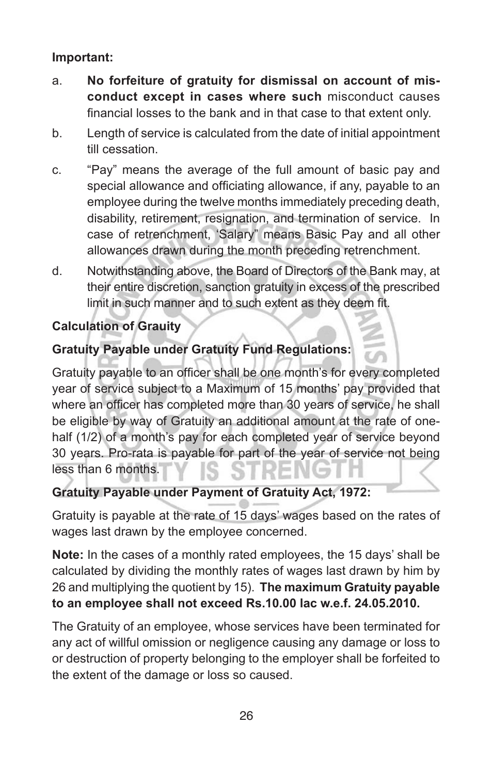#### **Important:**

- a. **No forfeiture of gratuity for dismissal on account of misconduct except in cases where such** misconduct causes financial losses to the bank and in that case to that extent only.
- b. Length of service is calculated from the date of initial appointment till cessation.
- c. "Pay" means the average of the full amount of basic pay and special allowance and officiating allowance, if any, payable to an employee during the twelve months immediately preceding death, disability, retirement, resignation, and termination of service. In case of retrenchment, 'Salary" means Basic Pay and all other allowances drawn during the month preceding retrenchment.
- d. Notwithstanding above, the Board of Directors of the Bank may, at their entire discretion, sanction gratuity in excess of the prescribed limit in such manner and to such extent as they deem fit.

### **Calculation of Grauity**

## **Gratuity Payable under Gratuity Fund Regulations:**

Gratuity payable to an officer shall be one month's for every completed year of service subject to a Maximum of 15 months' pay provided that where an officer has completed more than 30 years of service, he shall be eligible by way of Gratuity an additional amount at the rate of onehalf (1/2) of a month's pay for each completed year of service beyond 30 years. Pro-rata is payable for part of the year of service not being less than 6 months.

#### **Gratuity Payable under Payment of Gratuity Act, 1972:**

Gratuity is payable at the rate of 15 days' wages based on the rates of wages last drawn by the employee concerned.

**Note:** In the cases of a monthly rated employees, the 15 days' shall be calculated by dividing the monthly rates of wages last drawn by him by 26 and multiplying the quotient by 15). **The maximum Gratuity payable to an employee shall not exceed Rs.10.00 lac w.e.f. 24.05.2010.**

The Gratuity of an employee, whose services have been terminated for any act of willful omission or negligence causing any damage or loss to or destruction of property belonging to the employer shall be forfeited to the extent of the damage or loss so caused.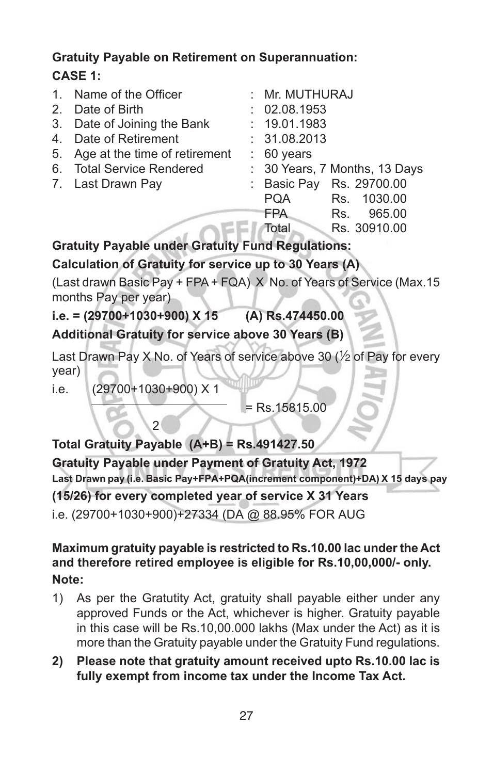## **Gratuity Payable on Retirement on Superannuation: CASE 1:**

| 1 <sub>1</sub> | Name of the Officer           |  | : Mr. MUTHURAJ                |
|----------------|-------------------------------|--|-------------------------------|
| 2 <sub>1</sub> | Date of Birth                 |  | : 02.08.1953                  |
|                | 3. Date of Joining the Bank   |  | : 19.01.1983                  |
| 4 <sup>1</sup> | Date of Retirement            |  | : 31.08.2013                  |
| 5.             | Age at the time of retirement |  | $\therefore$ 60 years         |
|                | 6. Total Service Rendered     |  | : 30 Years, 7 Months, 13 Days |
|                | 7. Last Drawn Pay             |  | : Basic Pay Rs. 29700.00      |
|                |                               |  | <b>PQA</b><br>Rs. 1030.00     |
|                |                               |  | <b>FPA</b><br>965.00<br>Rs.   |
|                |                               |  | Rs. 30910.00<br>Total         |

**Gratuity Payable under Gratuity Fund Regulations:**

### **Calculation of Gratuity for service up to 30 Years (A)**

(Last drawn Basic Pay + FPA + FQA) X No. of Years of Service (Max.15 months Pay per year)

**i.e. = (29700+1030+900) X 15 (A) Rs.474450.00**

**Additional Gratuity for service above 30 Years (B)**

Last Drawn Pay X No. of Years of service above 30 ( $\frac{1}{2}$  of Pay for every year)

i.e. (29700+1030+900) X 1

 $\sqrt{2}$ 

= Rs.15815.00

#### **Total Gratuity Payable (A+B) = Rs.491427.50**

**(15/26) for every completed year of service X 31 Years Gratuity Payable under Payment of Gratuity Act, 1972 Last Drawn pay (i.e. Basic Pay+FPA+PQA(increment component)+DA) X 15 days pay** 

i.e. (29700+1030+900)+27334 (DA @ 88.95% FOR AUG

#### **Maximum gratuity payable is restricted to Rs.10.00 lac under the Act and therefore retired employee is eligible for Rs.10,00,000/- only. Note:**

- 1) As per the Gratutity Act, gratuity shall payable either under any approved Funds or the Act, whichever is higher. Gratuity payable in this case will be Rs.10,00.000 lakhs (Max under the Act) as it is more than the Gratuity payable under the Gratuity Fund regulations.
- **2) Please note that gratuity amount received upto Rs.10.00 lac is fully exempt from income tax under the Income Tax Act.**